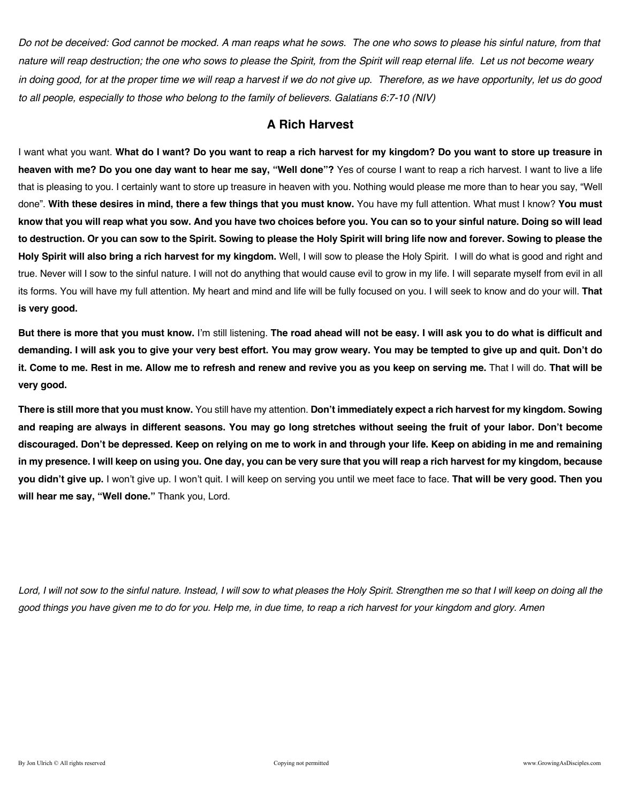*Do not be deceived: God cannot be mocked. A man reaps what he sows. The one who sows to please his sinful nature, from that nature will reap destruction; the one who sows to please the Spirit, from the Spirit will reap eternal life. Let us not become weary in doing good, for at the proper time we will reap a harvest if we do not give up. Therefore, as we have opportunity, let us do good to all people, especially to those who belong to the family of believers. Galatians 6:7-10 (NIV)*

### **A Rich Harvest**

I want what you want. **What do I want? Do you want to reap a rich harvest for my kingdom? Do you want to store up treasure in heaven with me? Do you one day want to hear me say, "Well done"?** Yes of course I want to reap a rich harvest. I want to live a life that is pleasing to you. I certainly want to store up treasure in heaven with you. Nothing would please me more than to hear you say, "Well done". **With these desires in mind, there a few things that you must know.** You have my full attention. What must I know? **You must know that you will reap what you sow. And you have two choices before you. You can so to your sinful nature. Doing so will lead to destruction. Or you can sow to the Spirit. Sowing to please the Holy Spirit will bring life now and forever. Sowing to please the Holy Spirit will also bring a rich harvest for my kingdom.** Well, I will sow to please the Holy Spirit. I will do what is good and right and true. Never will I sow to the sinful nature. I will not do anything that would cause evil to grow in my life. I will separate myself from evil in all its forms. You will have my full attention. My heart and mind and life will be fully focused on you. I will seek to know and do your will. **That is very good.**

**But there is more that you must know.** I'm still listening. **The road ahead will not be easy. I will ask you to do what is difficult and demanding. I will ask you to give your very best effort. You may grow weary. You may be tempted to give up and quit. Don't do it. Come to me. Rest in me. Allow me to refresh and renew and revive you as you keep on serving me.** That I will do. **That will be very good.**

**There is still more that you must know.** You still have my attention. **Don't immediately expect a rich harvest for my kingdom. Sowing and reaping are always in different seasons. You may go long stretches without seeing the fruit of your labor. Don't become discouraged. Don't be depressed. Keep on relying on me to work in and through your life. Keep on abiding in me and remaining in my presence. I will keep on using you. One day, you can be very sure that you will reap a rich harvest for my kingdom, because you didn't give up.** I won't give up. I won't quit. I will keep on serving you until we meet face to face. **That will be very good. Then you will hear me say, "Well done."** Thank you, Lord.

Lord, I will not sow to the sinful nature. Instead, I will sow to what pleases the Holy Spirit. Strengthen me so that I will keep on doing all the *good things you have given me to do for you. Help me, in due time, to reap a rich harvest for your kingdom and glory. Amen*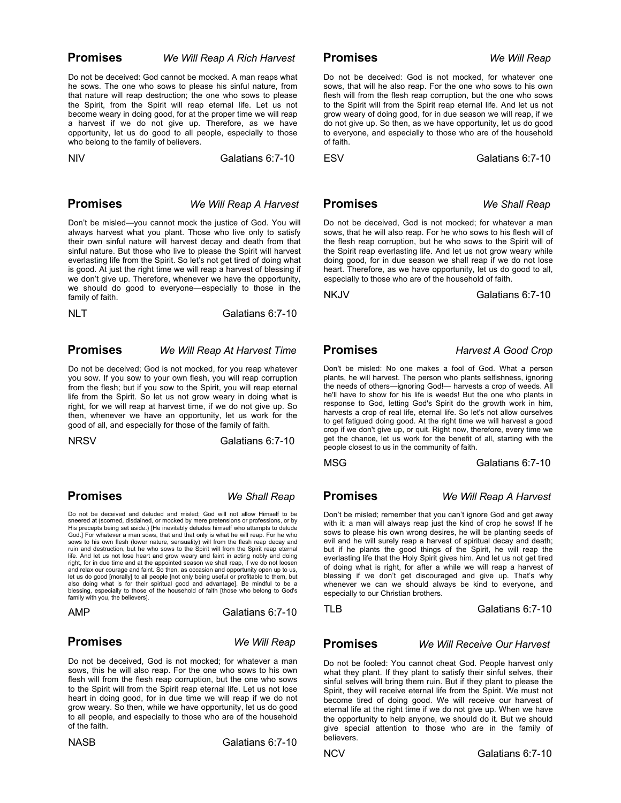**Promises** *We Will Reap A Rich Harvest*

Do not be deceived: God cannot be mocked. A man reaps what he sows. The one who sows to please his sinful nature, from that nature will reap destruction; the one who sows to please the Spirit, from the Spirit will reap eternal life. Let us not become weary in doing good, for at the proper time we will reap a harvest if we do not give up. Therefore, as we have opportunity, let us do good to all people, especially to those who belong to the family of believers.

NIV Galatians 6:7-10

### **Promises** *We Will Reap A Harvest*

Don't be misled—you cannot mock the justice of God. You will always harvest what you plant. Those who live only to satisfy their own sinful nature will harvest decay and death from that sinful nature. But those who live to please the Spirit will harvest everlasting life from the Spirit. So let's not get tired of doing what is good. At just the right time we will reap a harvest of blessing if we don't give up. Therefore, whenever we have the opportunity, we should do good to everyone—especially to those in the family of faith.

NLT Galatians 6:7-10

### **Promises** *We Will Reap At Harvest Time*

Do not be deceived; God is not mocked, for you reap whatever you sow. If you sow to your own flesh, you will reap corruption from the flesh; but if you sow to the Spirit, you will reap eternal life from the Spirit. So let us not grow weary in doing what is right, for we will reap at harvest time, if we do not give up. So then, whenever we have an opportunity, let us work for the good of all, and especially for those of the family of faith.

NRSV Galatians 6:7-10

 **Promises** *We Shall Reap*

Do not be deceived and deluded and misled; God will not allow Himself to be sneered at (scorned, disdained, or mocked by mere pretensions or professions, or by His precepts being set aside.) [He inevitably deludes himself who attempts to delude God.] For whatever a man sows, that and that only is what he will reap. For he who sows to his own flesh (lower nature, sensuality) will from the flesh reap decay and ruin and destruction, but he who sows to the Spirit will from the Spirit reap eternal life. And let us not lose heart and grow weary and faint in acting nobly and doing right, for in due time and at the appointed season we shall reap, if we do not loosen and relax our courage and faint. So then, as occasion and opportunity open up to us, let us do good [morally] to all people [not only being useful or profitable to them, but also doing what is for their spiritual good and advantage]. Be mindful to be a blessing, especially to those of the household of faith [those who belong to God's family with you, the believers].

AMP Galatians 6:7-10

### **Promises** *We Will Reap*

Do not be deceived, God is not mocked; for whatever a man sows, this he will also reap. For the one who sows to his own flesh will from the flesh reap corruption, but the one who sows to the Spirit will from the Spirit reap eternal life. Let us not lose heart in doing good, for in due time we will reap if we do not grow weary. So then, while we have opportunity, let us do good to all people, and especially to those who are of the household of the faith.

NASB Galatians 6:7-10

 **Promises** *We Will Reap*

Do not be deceived: God is not mocked, for whatever one sows, that will he also reap. For the one who sows to his own flesh will from the flesh reap corruption, but the one who sows to the Spirit will from the Spirit reap eternal life. And let us not grow weary of doing good, for in due season we will reap, if we do not give up. So then, as we have opportunity, let us do good to everyone, and especially to those who are of the household of faith.

ESV Galatians 6:7-10

 **Promises** *We Shall Reap*

Do not be deceived, God is not mocked; for whatever a man sows, that he will also reap. For he who sows to his flesh will of the flesh reap corruption, but he who sows to the Spirit will of the Spirit reap everlasting life. And let us not grow weary while doing good, for in due season we shall reap if we do not lose heart. Therefore, as we have opportunity, let us do good to all, especially to those who are of the household of faith.

NKJV Galatians 6:7-10

### **Promises** *Harvest A Good Crop*

Don't be misled: No one makes a fool of God. What a person plants, he will harvest. The person who plants selfishness, ignoring the needs of others—ignoring God!— harvests a crop of weeds. All he'll have to show for his life is weeds! But the one who plants in response to God, letting God's Spirit do the growth work in him, harvests a crop of real life, eternal life. So let's not allow ourselves to get fatigued doing good. At the right time we will harvest a good crop if we don't give up, or quit. Right now, therefore, every time we get the chance, let us work for the benefit of all, starting with the people closest to us in the community of faith.

MSG Galatians 6:7-10

 **Promises** *We Will Reap A Harvest*

Don't be misled; remember that you can't ignore God and get away with it: a man will always reap just the kind of crop he sows! If he sows to please his own wrong desires, he will be planting seeds of evil and he will surely reap a harvest of spiritual decay and death; but if he plants the good things of the Spirit, he will reap the everlasting life that the Holy Spirit gives him. And let us not get tired of doing what is right, for after a while we will reap a harvest of blessing if we don't get discouraged and give up. That's why whenever we can we should always be kind to everyone, and especially to our Christian brothers.

TLB Galatians 6:7-10

 **Promises** *We Will Receive Our Harvest*

Do not be fooled: You cannot cheat God. People harvest only what they plant. If they plant to satisfy their sinful selves, their sinful selves will bring them ruin. But if they plant to please the Spirit, they will receive eternal life from the Spirit. We must not become tired of doing good. We will receive our harvest of eternal life at the right time if we do not give up. When we have the opportunity to help anyone, we should do it. But we should give special attention to those who are in the family of believers.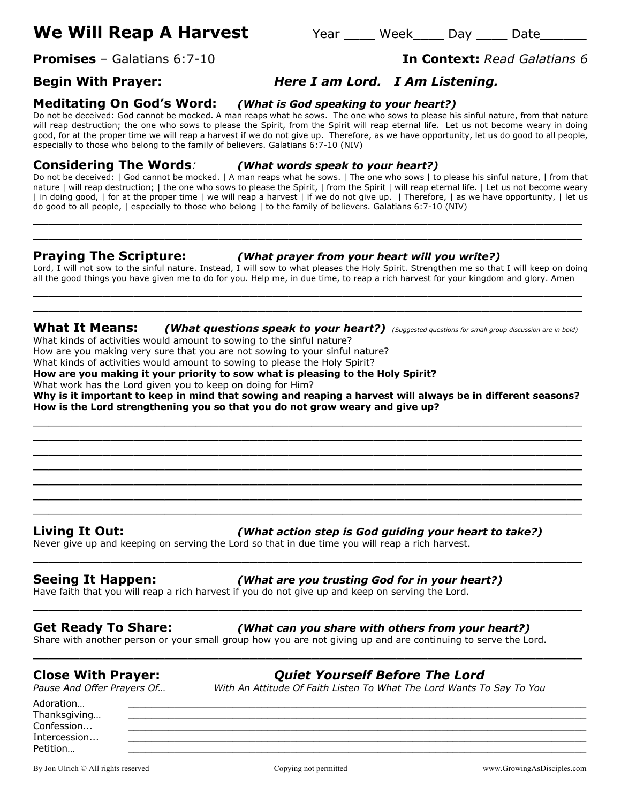# **We Will Reap A Harvest** Year Week Day Date

# **Begin With Prayer:** *Here I am Lord. I Am Listening.*

**Meditating On God's Word:** *(What is God speaking to your heart?)*

Do not be deceived: God cannot be mocked. A man reaps what he sows. The one who sows to please his sinful nature, from that nature will reap destruction; the one who sows to please the Spirit, from the Spirit will reap eternal life. Let us not become weary in doing good, for at the proper time we will reap a harvest if we do not give up. Therefore, as we have opportunity, let us do good to all people, especially to those who belong to the family of believers. Galatians 6:7-10 (NIV)

**Considering The Words***: (What words speak to your heart?)*

Do not be deceived: | God cannot be mocked. | A man reaps what he sows. | The one who sows | to please his sinful nature, | from that nature | will reap destruction; | the one who sows to please the Spirit, | from the Spirit | will reap eternal life. | Let us not become weary | in doing good, | for at the proper time | we will reap a harvest | if we do not give up. | Therefore, | as we have opportunity, | let us do good to all people, | especially to those who belong | to the family of believers. Galatians 6:7-10 (NIV)

 $\_$  , and the contribution of the contribution of  $\mathcal{L}$  , and  $\mathcal{L}$  , and  $\mathcal{L}$  , and  $\mathcal{L}$  , and  $\mathcal{L}$  , and  $\mathcal{L}$  , and  $\mathcal{L}$  , and  $\mathcal{L}$  , and  $\mathcal{L}$  , and  $\mathcal{L}$  , and  $\mathcal{L}$  , and  $\mathcal{L$ \_\_\_\_\_\_\_\_\_\_\_\_\_\_\_\_\_\_\_\_\_\_\_\_\_\_\_\_\_\_\_\_\_\_\_\_\_\_\_\_\_\_\_\_\_\_\_\_\_\_\_\_\_\_\_\_\_\_\_\_\_\_\_\_\_\_\_\_\_\_\_

### **Praying The Scripture:** *(What prayer from your heart will you write?)*

Lord, I will not sow to the sinful nature. Instead, I will sow to what pleases the Holy Spirit. Strengthen me so that I will keep on doing all the good things you have given me to do for you. Help me, in due time, to reap a rich harvest for your kingdom and glory. Amen  $\_$  . The contribution of the contribution of  $\mathcal{L}_1$  ,  $\mathcal{L}_2$  ,  $\mathcal{L}_3$  ,  $\mathcal{L}_4$  ,  $\mathcal{L}_5$  ,  $\mathcal{L}_6$  ,  $\mathcal{L}_7$  ,  $\mathcal{L}_8$  ,  $\mathcal{L}_9$  ,  $\mathcal{L}_1$  ,  $\mathcal{L}_2$  ,  $\mathcal{L}_3$  ,  $\mathcal{L}_5$  ,  $\mathcal{L}_6$  ,  $\mathcal{L}_$ 

**What It Means:** *(What questions speak to your heart?) (Suggested questions for small group discussion are in bold)* What kinds of activities would amount to sowing to the sinful nature?

 $\_$  , and the set of the set of the set of the set of the set of the set of the set of the set of the set of the set of the set of the set of the set of the set of the set of the set of the set of the set of the set of th

How are you making very sure that you are not sowing to your sinful nature?

What kinds of activities would amount to sowing to please the Holy Spirit?

**How are you making it your priority to sow what is pleasing to the Holy Spirit?**

What work has the Lord given you to keep on doing for Him?

**Why is it important to keep in mind that sowing and reaping a harvest will always be in different seasons? How is the Lord strengthening you so that you do not grow weary and give up?**  $\_$  , and the contribution of the contribution of  $\mathcal{L}$  , and  $\mathcal{L}$  , and  $\mathcal{L}$  , and  $\mathcal{L}$  , and  $\mathcal{L}$  , and  $\mathcal{L}$  , and  $\mathcal{L}$  , and  $\mathcal{L}$  , and  $\mathcal{L}$  , and  $\mathcal{L}$  , and  $\mathcal{L}$  , and  $\mathcal{L$ 

 $\_$  , and the set of the set of the set of the set of the set of the set of the set of the set of the set of the set of the set of the set of the set of the set of the set of the set of the set of the set of the set of th  $\_$  , and the contribution of the contribution of  $\mathcal{L}$  , and  $\mathcal{L}$  , and  $\mathcal{L}$  , and  $\mathcal{L}$  , and  $\mathcal{L}$  , and  $\mathcal{L}$  , and  $\mathcal{L}$  , and  $\mathcal{L}$  , and  $\mathcal{L}$  , and  $\mathcal{L}$  , and  $\mathcal{L}$  , and  $\mathcal{L$ \_\_\_\_\_\_\_\_\_\_\_\_\_\_\_\_\_\_\_\_\_\_\_\_\_\_\_\_\_\_\_\_\_\_\_\_\_\_\_\_\_\_\_\_\_\_\_\_\_\_\_\_\_\_\_\_\_\_\_\_\_\_\_\_\_\_\_\_\_\_\_ \_\_\_\_\_\_\_\_\_\_\_\_\_\_\_\_\_\_\_\_\_\_\_\_\_\_\_\_\_\_\_\_\_\_\_\_\_\_\_\_\_\_\_\_\_\_\_\_\_\_\_\_\_\_\_\_\_\_\_\_\_\_\_\_\_\_\_\_\_\_\_  $\_$  . The contribution of the contribution of  $\mathcal{L}_1$  ,  $\mathcal{L}_2$  ,  $\mathcal{L}_3$  ,  $\mathcal{L}_4$  ,  $\mathcal{L}_5$  ,  $\mathcal{L}_6$  ,  $\mathcal{L}_7$  ,  $\mathcal{L}_8$  ,  $\mathcal{L}_9$  ,  $\mathcal{L}_1$  ,  $\mathcal{L}_2$  ,  $\mathcal{L}_3$  ,  $\mathcal{L}_5$  ,  $\mathcal{L}_6$  ,  $\mathcal{L}_$  $\_$  , and the contribution of the contribution of  $\mathcal{L}$  , and  $\mathcal{L}$  , and  $\mathcal{L}$  , and  $\mathcal{L}$  , and  $\mathcal{L}$  , and  $\mathcal{L}$  , and  $\mathcal{L}$  , and  $\mathcal{L}$  , and  $\mathcal{L}$  , and  $\mathcal{L}$  , and  $\mathcal{L}$  , and  $\mathcal{L$ 

\_\_\_\_\_\_\_\_\_\_\_\_\_\_\_\_\_\_\_\_\_\_\_\_\_\_\_\_\_\_\_\_\_\_\_\_\_\_\_\_\_\_\_\_\_\_\_\_\_\_\_\_\_\_\_\_\_\_\_\_\_\_\_\_\_\_\_\_\_\_\_

\_\_\_\_\_\_\_\_\_\_\_\_\_\_\_\_\_\_\_\_\_\_\_\_\_\_\_\_\_\_\_\_\_\_\_\_\_\_\_\_\_\_\_\_\_\_\_\_\_\_\_\_\_\_\_\_\_\_\_\_\_\_\_\_\_\_\_\_\_\_\_

\_\_\_\_\_\_\_\_\_\_\_\_\_\_\_\_\_\_\_\_\_\_\_\_\_\_\_\_\_\_\_\_\_\_\_\_\_\_\_\_\_\_\_\_\_\_\_\_\_\_\_\_\_\_\_\_\_\_\_\_\_\_\_\_\_\_\_\_\_\_\_

### **Living It Out:** *(What action step is God guiding your heart to take?)*

Never give up and keeping on serving the Lord so that in due time you will reap a rich harvest.

# **Seeing It Happen:** *(What are you trusting God for in your heart?)*

Have faith that you will reap a rich harvest if you do not give up and keep on serving the Lord.

### **Get Ready To Share:** *(What can you share with others from your heart?)*

Share with another person or your small group how you are not giving up and are continuing to serve the Lord.

## **Close With Prayer:** *Quiet Yourself Before The Lord*

*Pause And Offer Prayers Of… With An Attitude Of Faith Listen To What The Lord Wants To Say To You*

Adoration… \_\_\_\_\_\_\_\_\_\_\_\_\_\_\_\_\_\_\_\_\_\_\_\_\_\_\_\_\_\_\_\_\_\_\_\_\_\_\_\_\_\_\_\_\_\_\_\_\_\_\_\_\_\_\_\_\_\_\_\_\_\_\_\_\_\_\_\_\_\_\_\_\_\_\_\_\_\_\_ Thanksgiving...  $\textsf{Confession...}\qquad \qquad \underline{\hspace{25pt}}$ Intercession... Petition… \_\_\_\_\_\_\_\_\_\_\_\_\_\_\_\_\_\_\_\_\_\_\_\_\_\_\_\_\_\_\_\_\_\_\_\_\_\_\_\_\_\_\_\_\_\_\_\_\_\_\_\_\_\_\_\_\_\_\_\_\_\_\_\_\_\_\_\_\_\_\_\_\_\_\_\_\_\_\_

By Jon Ulrich © All rights reserved examples are compared comparing comparing the comparing of permitted www.GrowingAsDisciples.com

# **Promises** – Galatians 6:7-10 **In Context:** *Read Galatians 6*